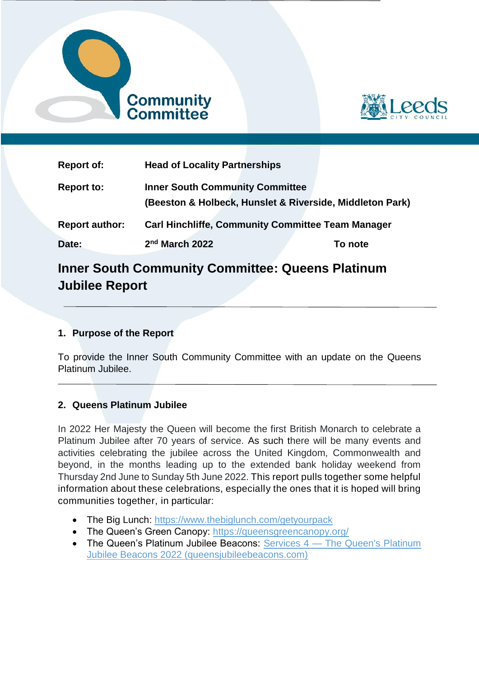



| <b>Report of:</b>     | <b>Head of Locality Partnerships</b>                                                               |  |         |
|-----------------------|----------------------------------------------------------------------------------------------------|--|---------|
| <b>Report to:</b>     | <b>Inner South Community Committee</b><br>(Beeston & Holbeck, Hunslet & Riverside, Middleton Park) |  |         |
| <b>Report author:</b> | <b>Carl Hinchliffe, Community Committee Team Manager</b>                                           |  |         |
| Date:                 | 2nd March 2022                                                                                     |  | To note |

# **Inner South Community Committee: Queens Platinum Jubilee Report**

## **1. Purpose of the Report**

To provide the Inner South Community Committee with an update on the Queens Platinum Jubilee.

## **2. Queens Platinum Jubilee**

In 2022 Her Majesty the Queen will become the first British Monarch to celebrate a Platinum Jubilee after 70 years of service. As such there will be many events and activities celebrating the jubilee across the United Kingdom, Commonwealth and beyond, in the months leading up to the extended bank holiday weekend from Thursday 2nd June to Sunday 5th June 2022. This report pulls together some helpful information about these celebrations, especially the ones that it is hoped will bring communities together, in particular:

- The Big Lunch:<https://www.thebiglunch.com/getyourpack>
- The Queen's Green Canopy:<https://queensgreencanopy.org/>
- [The Queen's Platinum](https://www.queensjubileebeacons.com/guide) Jubilee Beacons: Services 4 The Queen's Platinum [Jubilee Beacons 2022 \(queensjubileebeacons.com\)](https://www.queensjubileebeacons.com/guide)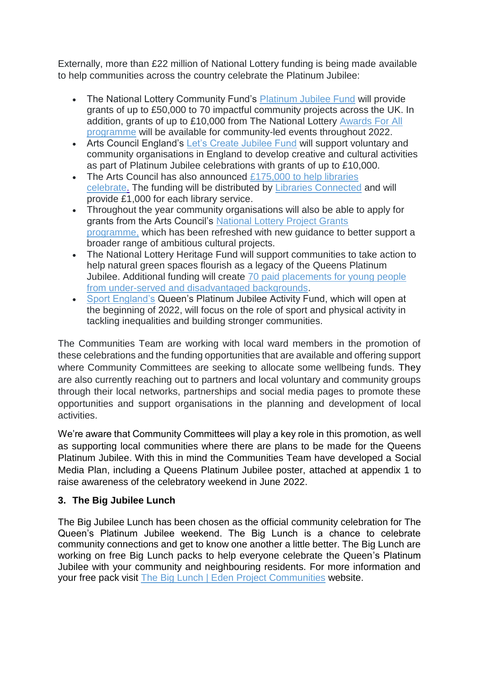Externally, more than £22 million of National Lottery funding is being made available to help communities across the country celebrate the Platinum Jubilee:

- The National Lottery Community Fund's [Platinum Jubilee Fund](https://www.tnlcommunityfund.org.uk/funding/programmes/the-platinum-jubilee-fund) will provide grants of up to £50,000 to 70 impactful community projects across the UK. In addition, grants of up to £10,000 from The National Lottery [Awards For All](https://www.tnlcommunityfund.org.uk/funding/programmes/national-lottery-awards-for-all-england)  [programme](https://www.tnlcommunityfund.org.uk/funding/programmes/national-lottery-awards-for-all-england) will be available for community-led events throughout 2022.
- Arts Council England's [Let's Create Jubilee Fund](https://www.artscouncil.org.uk/our-open-funds/let%E2%80%99s-create-jubilee-fund) will support voluntary and community organisations in England to develop creative and cultural activities as part of Platinum Jubilee celebrations with grants of up to £10,000.
- The Arts Council has also announced  $£175,000$  to help libraries [celebrate.](https://www.artscouncil.org.uk/our-open-funds/let%E2%80%99s-create-jubilee-fund) The funding will be distributed by [Libraries Connected](https://www.librariesconnected.org.uk/) and will provide £1,000 for each library service.
- Throughout the year community organisations will also be able to apply for grants from the Arts Council's [National Lottery Project Grants](https://www.artscouncil.org.uk/projectgrants)  [programme,](https://www.artscouncil.org.uk/projectgrants) which has been refreshed with new guidance to better support a broader range of ambitious cultural projects.
- The National Lottery Heritage Fund will support communities to take action to help natural green spaces flourish as a legacy of the Queens Platinum Jubilee. Additional funding will create [70 paid placements for young people](https://www.heritagefund.org.uk/news/ps7million-legacy-nature-and-communities-queens-jubilee)  [from under-served and disadvantaged backgrounds.](https://www.heritagefund.org.uk/news/ps7million-legacy-nature-and-communities-queens-jubilee)
- [Sport England's](https://www.sportengland.org/) Queen's Platinum Jubilee Activity Fund, which will open at the beginning of 2022, will focus on the role of sport and physical activity in tackling inequalities and building stronger communities.

The Communities Team are working with local ward members in the promotion of these celebrations and the funding opportunities that are available and offering support where Community Committees are seeking to allocate some wellbeing funds. They are also currently reaching out to partners and local voluntary and community groups through their local networks, partnerships and social media pages to promote these opportunities and support organisations in the planning and development of local activities.

We're aware that Community Committees will play a key role in this promotion, as well as supporting local communities where there are plans to be made for the Queens Platinum Jubilee. With this in mind the Communities Team have developed a Social Media Plan, including a Queens Platinum Jubilee poster, attached at appendix 1 to raise awareness of the celebratory weekend in June 2022.

## **3. The Big Jubilee Lunch**

The Big Jubilee Lunch has been chosen as the official community celebration for The Queen's Platinum Jubilee weekend. The Big Lunch is a chance to celebrate community connections and get to know one another a little better. The Big Lunch are working on free Big Lunch packs to help everyone celebrate the Queen's Platinum Jubilee with your community and neighbouring residents. For more information and your free pack visit [The Big Lunch | Eden Project Communities](https://www.edenprojectcommunities.com/the-big-lunch) website.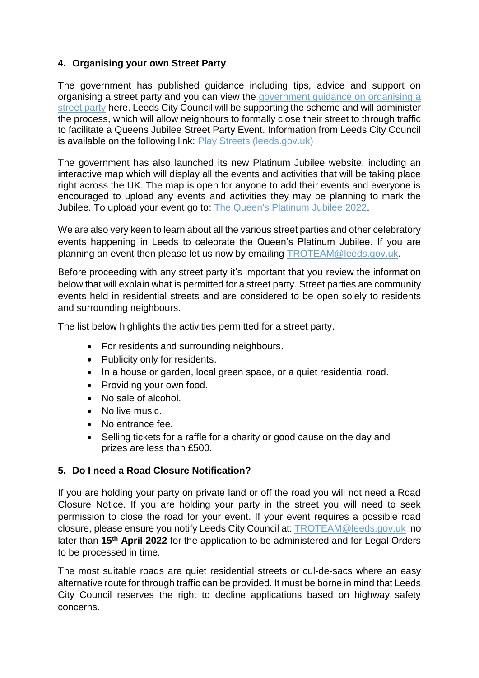## **4. Organising your own Street Party**

The government has published guidance including tips, advice and support on organising a street party and you can view the [government guidance on organising a](https://www.gov.uk/government/publications/your-guide-to-organising-a-street-party/your-guide-to-organising-a-street-party)  [street party](https://www.gov.uk/government/publications/your-guide-to-organising-a-street-party/your-guide-to-organising-a-street-party) here. Leeds City Council will be supporting the scheme and will administer the process, which will allow neighbours to formally close their street to through traffic to facilitate a Queens Jubilee Street Party Event. Information from Leeds City Council is available on the following link: [Play Streets \(leeds.gov.uk\)](https://www.leeds.gov.uk/parking-roads-and-travel/licences-and-permits/play-streets)

The government has also launched its new Platinum Jubilee website, including an interactive map which will display all the events and activities that will be taking place right across the UK. The map is open for anyone to add their events and everyone is encouraged to upload any events and activities they may be planning to mark the Jubilee. To upload your event go to: [The Queen's Platinum Jubilee 2022.](https://platinumjubilee.gov.uk/)

We are also very keen to learn about all the various street parties and other celebratory events happening in Leeds to celebrate the Queen's Platinum Jubilee. If you are planning an event then please let us now by emailing [TROTEAM@leeds.gov.uk.](mailto:TROTEAM@leeds.gov.uk)

Before proceeding with any street party it's important that you review the information below that will explain what is permitted for a street party. Street parties are community events held in residential streets and are considered to be open solely to residents and surrounding neighbours.

The list below highlights the activities permitted for a street party.

- For residents and surrounding neighbours.
- Publicity only for residents.
- In a house or garden, local green space, or a quiet residential road.
- Providing your own food.
- No sale of alcohol.
- No live music.
- No entrance fee.
- Selling tickets for a raffle for a charity or good cause on the day and prizes are less than £500.

## **5. Do I need a Road Closure Notification?**

If you are holding your party on private land or off the road you will not need a Road Closure Notice. If you are holding your party in the street you will need to seek permission to close the road for your event. If your event requires a possible road closure, please ensure you notify Leeds City Council at: [TROTEAM@leeds.gov.uk](mailto:TROTEAM@leeds.gov.uk) no later than **15th April 2022** for the application to be administered and for Legal Orders to be processed in time.

The most suitable roads are quiet residential streets or cul-de-sacs where an easy alternative route for through traffic can be provided. It must be borne in mind that Leeds City Council reserves the right to decline applications based on highway safety concerns.